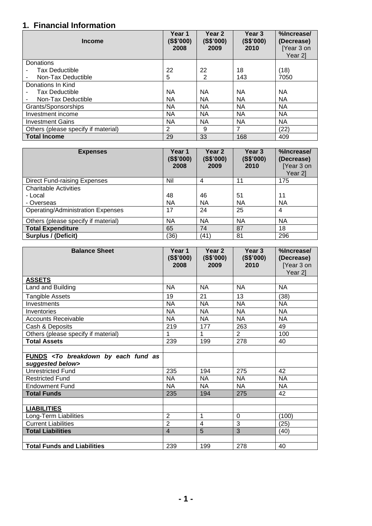## **1. Financial Information**

| <b>Income</b>                       | Year 1<br>(S\$'000)<br>2008 | Year 2<br>(S\$'000)<br>2009 | Year 3<br>(S\$'000)<br>2010 | %Increase/<br>(Decrease)<br>[Year 3 on<br>Year 2] |
|-------------------------------------|-----------------------------|-----------------------------|-----------------------------|---------------------------------------------------|
| Donations                           |                             |                             |                             |                                                   |
| Tax Deductible                      | 22                          | 22                          | 18                          | (18)                                              |
| Non-Tax Deductible                  | 5                           | 2                           | 143                         | 7050                                              |
| Donations In Kind                   |                             |                             |                             |                                                   |
| <b>Tax Deductible</b>               | <b>NA</b>                   | <b>NA</b>                   | <b>NA</b>                   | <b>NA</b>                                         |
| Non-Tax Deductible                  | <b>NA</b>                   | <b>NA</b>                   | <b>NA</b>                   | <b>NA</b>                                         |
| Grants/Sponsorships                 | <b>NA</b>                   | <b>NA</b>                   | <b>NA</b>                   | <b>NA</b>                                         |
| Investment income                   | <b>NA</b>                   | <b>NA</b>                   | <b>NA</b>                   | <b>NA</b>                                         |
| <b>Investment Gains</b>             | <b>NA</b>                   | <b>NA</b>                   | <b>NA</b>                   | ΝA                                                |
| Others (please specify if material) | 2                           | 9                           | 7                           | (22)                                              |
| <b>Total Income</b>                 | 29                          | 33                          | 168                         | 409                                               |

| <b>Expenses</b>                          | Year 1<br>(S\$'000)<br>2008 | Year <sub>2</sub><br>(S\$'000)<br>2009 | Year 3<br>(S\$'000)<br>2010 | %Increase/<br>(Decrease)<br>[Year 3 on<br>Year 2] |
|------------------------------------------|-----------------------------|----------------------------------------|-----------------------------|---------------------------------------------------|
| <b>Direct Fund-raising Expenses</b>      | Nil                         | 4                                      | 11                          | 175                                               |
| <b>Charitable Activities</b>             |                             |                                        |                             |                                                   |
| - Local                                  | 48                          | 46                                     | 51                          | 11                                                |
| - Overseas                               | <b>NA</b>                   | <b>NA</b>                              | <b>NA</b>                   | <b>NA</b>                                         |
| <b>Operating/Administration Expenses</b> | 17                          | 24                                     | 25                          | 4                                                 |
| Others (please specify if material)      | <b>NA</b>                   | <b>NA</b>                              | <b>NA</b>                   | <b>NA</b>                                         |
| <b>Total Expenditure</b>                 | 65                          | 74                                     | 87                          | 18                                                |
| Surplus / (Deficit)                      | (36)                        | (41)                                   | 81                          | 296                                               |

| <b>Balance Sheet</b>                                                           | Year 1<br>(S\$'000)<br>2008 | Year 2<br>(S\$'000)<br>2009 | Year 3<br>(S\$'000)<br>2010 | %Increase/<br>(Decrease)<br>[Year 3 on<br>Year 2] |
|--------------------------------------------------------------------------------|-----------------------------|-----------------------------|-----------------------------|---------------------------------------------------|
| <b>ASSETS</b>                                                                  |                             |                             |                             |                                                   |
| Land and Building                                                              | <b>NA</b>                   | <b>NA</b>                   | <b>NA</b>                   | <b>NA</b>                                         |
| <b>Tangible Assets</b>                                                         | 19                          | 21                          | 13                          | (38)                                              |
| Investments                                                                    | <b>NA</b>                   | <b>NA</b>                   | <b>NA</b>                   | <b>NA</b>                                         |
| Inventories                                                                    | <b>NA</b>                   | <b>NA</b>                   | <b>NA</b>                   | <b>NA</b>                                         |
| <b>Accounts Receivable</b>                                                     | <b>NA</b>                   | <b>NA</b>                   | <b>NA</b>                   | <b>NA</b>                                         |
| Cash & Deposits                                                                | 219                         | 177                         | 263                         | 49                                                |
| Others (please specify if material)                                            | 1                           | 1                           | $\overline{2}$              | 100                                               |
| <b>Total Assets</b>                                                            | 239                         | 199                         | 278                         | 40                                                |
|                                                                                |                             |                             |                             |                                                   |
| FUNDS <to as<br="" breakdown="" by="" each="" fund="">suggested below&gt;</to> |                             |                             |                             |                                                   |
| <b>Unrestricted Fund</b>                                                       | 235                         | 194                         | 275                         | 42                                                |
| <b>Restricted Fund</b>                                                         | <b>NA</b>                   | <b>NA</b>                   | <b>NA</b>                   | <b>NA</b>                                         |
| <b>Endowment Fund</b>                                                          | <b>NA</b>                   | <b>NA</b>                   | <b>NA</b>                   | <b>NA</b>                                         |
| <b>Total Funds</b>                                                             | 235                         | 194                         | 275                         | 42                                                |
|                                                                                |                             |                             |                             |                                                   |
| <b>LIABILITIES</b>                                                             |                             |                             |                             |                                                   |
| Long-Term Liabilities                                                          | $\overline{2}$              | 1                           | $\Omega$                    | (100)                                             |
| <b>Current Liabilities</b>                                                     | $\overline{2}$              | 4                           | 3                           | (25)                                              |
| <b>Total Liabilities</b>                                                       | $\overline{4}$              | 5                           | $\overline{3}$              | (40)                                              |
|                                                                                |                             |                             |                             |                                                   |
| <b>Total Funds and Liabilities</b>                                             | 239                         | 199                         | 278                         | 40                                                |